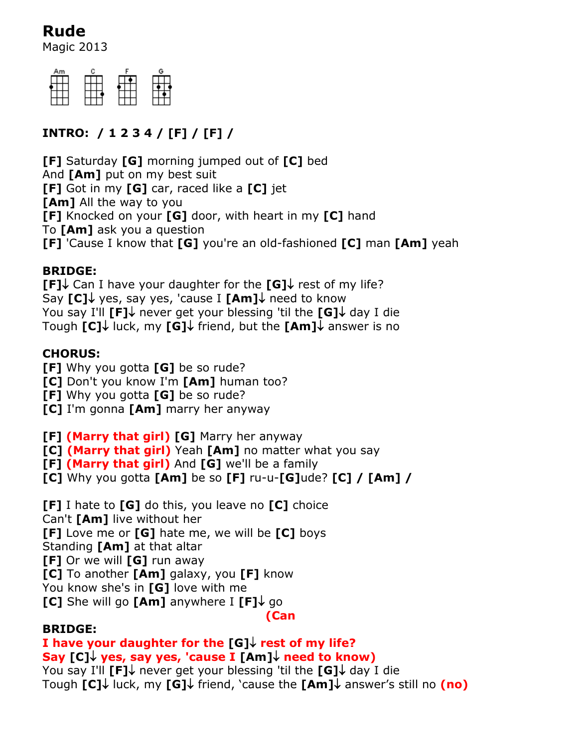# **Rude**

Magic 2013



## **INTRO: / 1 2 3 4 / [F] / [F] /**

**[F]** Saturday **[G]** morning jumped out of **[C]** bed And **[Am]** put on my best suit **[F]** Got in my **[G]** car, raced like a **[C]** jet **[Am]** All the way to you **[F]** Knocked on your **[G]** door, with heart in my **[C]** hand To **[Am]** ask you a question **[F]** 'Cause I know that **[G]** you're an old-fashioned **[C]** man **[Am]** yeah

### **BRIDGE:**

**[F]** Can I have your daughter for the  $\text{[G]}$  rest of my life? Say [C]↓ yes, say yes, 'cause I [Am]↓ need to know You say I'll **[F]** never get your blessing 'til the **[G]** day I die Tough **[C]↓** luck, my **[G]↓** friend, but the **[Am]↓** answer is no

## **CHORUS:**

- **[F]** Why you gotta **[G]** be so rude?
- **[C]** Don't you know I'm **[Am]** human too?
- **[F]** Why you gotta **[G]** be so rude?
- **[C]** I'm gonna **[Am]** marry her anyway

**[F] (Marry that girl) [G]** Marry her anyway

- **[C] (Marry that girl)** Yeah **[Am]** no matter what you say
- **[F] (Marry that girl)** And **[G]** we'll be a family
- **[C]** Why you gotta **[Am]** be so **[F]** ru-u-**[G]**ude? **[C] / [Am] /**
- **[F]** I hate to **[G]** do this, you leave no **[C]** choice
- Can't **[Am]** live without her
- **[F]** Love me or **[G]** hate me, we will be **[C]** boys
- Standing **[Am]** at that altar
- **[F]** Or we will **[G]** run away
- **[C]** To another **[Am]** galaxy, you **[F]** know
- You know she's in **[G]** love with me
- **[C]** She will go **[Am]** anywhere  $I$  **[F]** $\downarrow$  go

**(Can**

## **BRIDGE:**

#### **I have your daughter for the [G] rest of my life? Say [C] yes, say yes, 'cause I [Am] need to know)**

You say I'll  $\Gamma$ **F**] $\downarrow$  never get your blessing 'til the  $\Gamma$ **G**] $\downarrow$  day I die Tough **[C]↓** luck, my **[G]↓** friend, `cause the **[Am]↓** answer's still no (no)